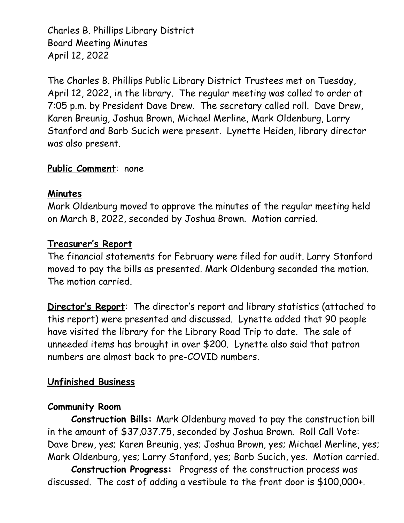Charles B. Phillips Library District Board Meeting Minutes April 12, 2022

The Charles B. Phillips Public Library District Trustees met on Tuesday, April 12, 2022, in the library. The regular meeting was called to order at 7:05 p.m. by President Dave Drew. The secretary called roll. Dave Drew, Karen Breunig, Joshua Brown, Michael Merline, Mark Oldenburg, Larry Stanford and Barb Sucich were present. Lynette Heiden, library director was also present.

# **Public Comment**: none

# **Minutes**

Mark Oldenburg moved to approve the minutes of the regular meeting held on March 8, 2022, seconded by Joshua Brown. Motion carried.

### **Treasurer's Report**

The financial statements for February were filed for audit. Larry Stanford moved to pay the bills as presented. Mark Oldenburg seconded the motion. The motion carried.

**Director's Report**: The director's report and library statistics (attached to this report) were presented and discussed. Lynette added that 90 people have visited the library for the Library Road Trip to date. The sale of unneeded items has brought in over \$200. Lynette also said that patron numbers are almost back to pre-COVID numbers.

# **Unfinished Business**

# **Community Room**

**Construction Bills:** Mark Oldenburg moved to pay the construction bill in the amount of \$37,037.75, seconded by Joshua Brown. Roll Call Vote: Dave Drew, yes; Karen Breunig, yes; Joshua Brown, yes; Michael Merline, yes; Mark Oldenburg, yes; Larry Stanford, yes; Barb Sucich, yes. Motion carried.

**Construction Progress:** Progress of the construction process was discussed. The cost of adding a vestibule to the front door is \$100,000+.